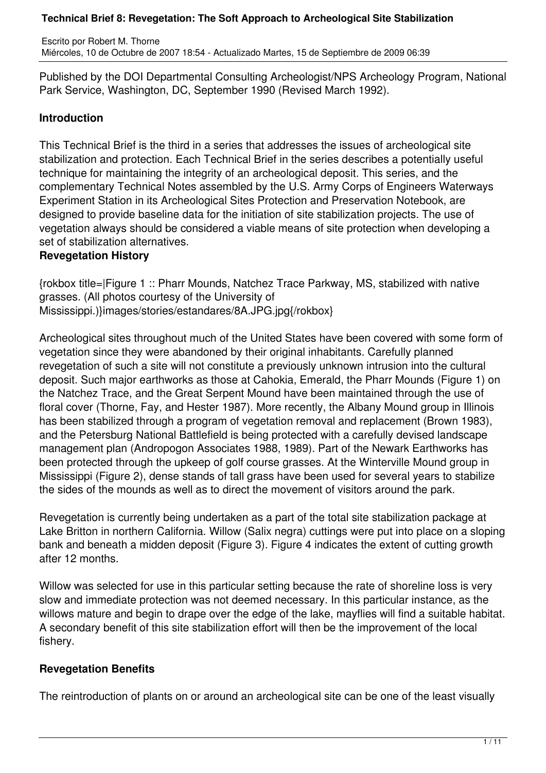Published by the DOI Departmental Consulting Archeologist/NPS Archeology Program, National Park Service, Washington, DC, September 1990 (Revised March 1992).

## **Introduction**

This Technical Brief is the third in a series that addresses the issues of archeological site stabilization and protection. Each Technical Brief in the series describes a potentially useful technique for maintaining the integrity of an archeological deposit. This series, and the complementary Technical Notes assembled by the U.S. Army Corps of Engineers Waterways Experiment Station in its Archeological Sites Protection and Preservation Notebook, are designed to provide baseline data for the initiation of site stabilization projects. The use of vegetation always should be considered a viable means of site protection when developing a set of stabilization alternatives.

## **Revegetation History**

{rokbox title=|Figure 1 :: Pharr Mounds, Natchez Trace Parkway, MS, stabilized with native grasses. (All photos courtesy of the University of Mississippi.)}images/stories/estandares/8A.JPG.jpg{/rokbox}

Archeological sites throughout much of the United States have been covered with some form of vegetation since they were abandoned by their original inhabitants. Carefully planned revegetation of such a site will not constitute a previously unknown intrusion into the cultural deposit. Such major earthworks as those at Cahokia, Emerald, the Pharr Mounds (Figure 1) on the Natchez Trace, and the Great Serpent Mound have been maintained through the use of floral cover (Thorne, Fay, and Hester 1987). More recently, the Albany Mound group in Illinois has been stabilized through a program of vegetation removal and replacement (Brown 1983), and the Petersburg National Battlefield is being protected with a carefully devised landscape management plan (Andropogon Associates 1988, 1989). Part of the Newark Earthworks has been protected through the upkeep of golf course grasses. At the Winterville Mound group in Mississippi (Figure 2), dense stands of tall grass have been used for several years to stabilize the sides of the mounds as well as to direct the movement of visitors around the park.

Revegetation is currently being undertaken as a part of the total site stabilization package at Lake Britton in northern California. Willow (Salix negra) cuttings were put into place on a sloping bank and beneath a midden deposit (Figure 3). Figure 4 indicates the extent of cutting growth after 12 months.

Willow was selected for use in this particular setting because the rate of shoreline loss is very slow and immediate protection was not deemed necessary. In this particular instance, as the willows mature and begin to drape over the edge of the lake, mayflies will find a suitable habitat. A secondary benefit of this site stabilization effort will then be the improvement of the local fishery.

# **Revegetation Benefits**

The reintroduction of plants on or around an archeological site can be one of the least visually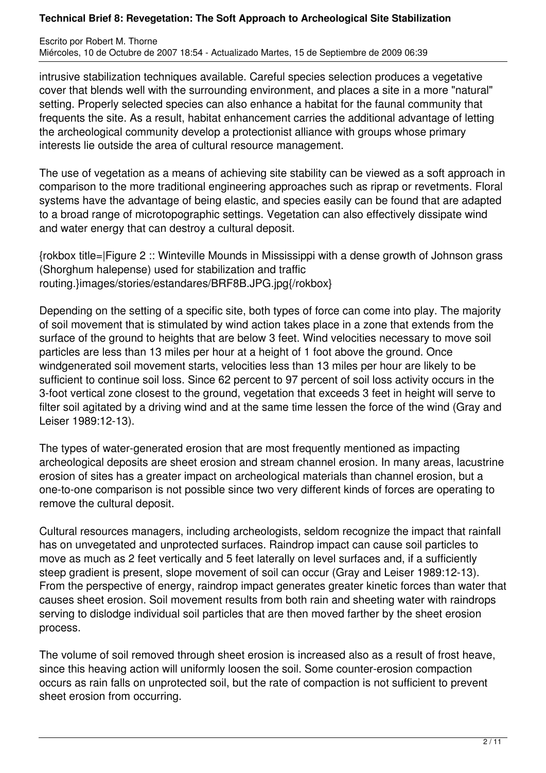Escrito por Robert M. Thorne Miércoles, 10 de Octubre de 2007 18:54 - Actualizado Martes, 15 de Septiembre de 2009 06:39

intrusive stabilization techniques available. Careful species selection produces a vegetative cover that blends well with the surrounding environment, and places a site in a more "natural" setting. Properly selected species can also enhance a habitat for the faunal community that frequents the site. As a result, habitat enhancement carries the additional advantage of letting the archeological community develop a protectionist alliance with groups whose primary interests lie outside the area of cultural resource management.

The use of vegetation as a means of achieving site stability can be viewed as a soft approach in comparison to the more traditional engineering approaches such as riprap or revetments. Floral systems have the advantage of being elastic, and species easily can be found that are adapted to a broad range of microtopographic settings. Vegetation can also effectively dissipate wind and water energy that can destroy a cultural deposit.

{rokbox title=|Figure 2 :: Winteville Mounds in Mississippi with a dense growth of Johnson grass (Shorghum halepense) used for stabilization and traffic routing.}images/stories/estandares/BRF8B.JPG.jpg{/rokbox}

Depending on the setting of a specific site, both types of force can come into play. The majority of soil movement that is stimulated by wind action takes place in a zone that extends from the surface of the ground to heights that are below 3 feet. Wind velocities necessary to move soil particles are less than 13 miles per hour at a height of 1 foot above the ground. Once windgenerated soil movement starts, velocities less than 13 miles per hour are likely to be sufficient to continue soil loss. Since 62 percent to 97 percent of soil loss activity occurs in the 3-foot vertical zone closest to the ground, vegetation that exceeds 3 feet in height will serve to filter soil agitated by a driving wind and at the same time lessen the force of the wind (Gray and Leiser 1989:12-13).

The types of water-generated erosion that are most frequently mentioned as impacting archeological deposits are sheet erosion and stream channel erosion. In many areas, lacustrine erosion of sites has a greater impact on archeological materials than channel erosion, but a one-to-one comparison is not possible since two very different kinds of forces are operating to remove the cultural deposit.

Cultural resources managers, including archeologists, seldom recognize the impact that rainfall has on unvegetated and unprotected surfaces. Raindrop impact can cause soil particles to move as much as 2 feet vertically and 5 feet laterally on level surfaces and, if a sufficiently steep gradient is present, slope movement of soil can occur (Gray and Leiser 1989:12-13). From the perspective of energy, raindrop impact generates greater kinetic forces than water that causes sheet erosion. Soil movement results from both rain and sheeting water with raindrops serving to dislodge individual soil particles that are then moved farther by the sheet erosion process.

The volume of soil removed through sheet erosion is increased also as a result of frost heave, since this heaving action will uniformly loosen the soil. Some counter-erosion compaction occurs as rain falls on unprotected soil, but the rate of compaction is not sufficient to prevent sheet erosion from occurring.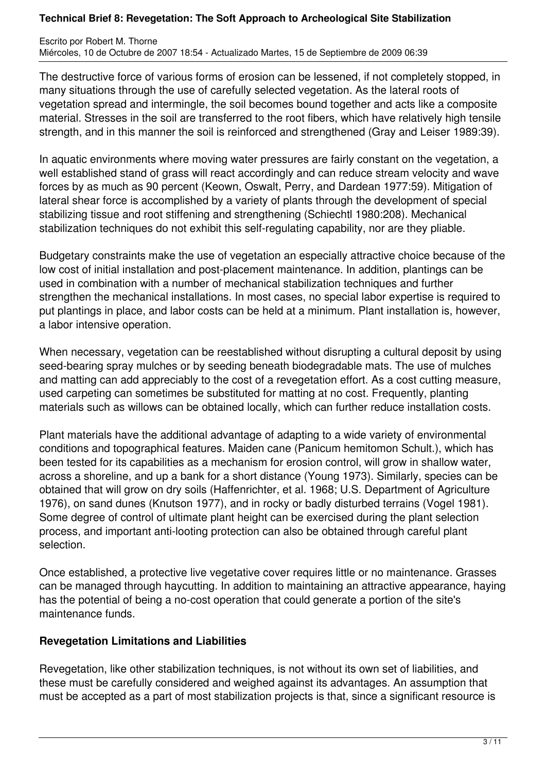Escrito por Robert M. Thorne Miércoles, 10 de Octubre de 2007 18:54 - Actualizado Martes, 15 de Septiembre de 2009 06:39

The destructive force of various forms of erosion can be lessened, if not completely stopped, in many situations through the use of carefully selected vegetation. As the lateral roots of vegetation spread and intermingle, the soil becomes bound together and acts like a composite material. Stresses in the soil are transferred to the root fibers, which have relatively high tensile strength, and in this manner the soil is reinforced and strengthened (Gray and Leiser 1989:39).

In aquatic environments where moving water pressures are fairly constant on the vegetation, a well established stand of grass will react accordingly and can reduce stream velocity and wave forces by as much as 90 percent (Keown, Oswalt, Perry, and Dardean 1977:59). Mitigation of lateral shear force is accomplished by a variety of plants through the development of special stabilizing tissue and root stiffening and strengthening (Schiechtl 1980:208). Mechanical stabilization techniques do not exhibit this self-regulating capability, nor are they pliable.

Budgetary constraints make the use of vegetation an especially attractive choice because of the low cost of initial installation and post-placement maintenance. In addition, plantings can be used in combination with a number of mechanical stabilization techniques and further strengthen the mechanical installations. In most cases, no special labor expertise is required to put plantings in place, and labor costs can be held at a minimum. Plant installation is, however, a labor intensive operation.

When necessary, vegetation can be reestablished without disrupting a cultural deposit by using seed-bearing spray mulches or by seeding beneath biodegradable mats. The use of mulches and matting can add appreciably to the cost of a revegetation effort. As a cost cutting measure, used carpeting can sometimes be substituted for matting at no cost. Frequently, planting materials such as willows can be obtained locally, which can further reduce installation costs.

Plant materials have the additional advantage of adapting to a wide variety of environmental conditions and topographical features. Maiden cane (Panicum hemitomon Schult.), which has been tested for its capabilities as a mechanism for erosion control, will grow in shallow water, across a shoreline, and up a bank for a short distance (Young 1973). Similarly, species can be obtained that will grow on dry soils (Haffenrichter, et al. 1968; U.S. Department of Agriculture 1976), on sand dunes (Knutson 1977), and in rocky or badly disturbed terrains (Vogel 1981). Some degree of control of ultimate plant height can be exercised during the plant selection process, and important anti-looting protection can also be obtained through careful plant selection.

Once established, a protective live vegetative cover requires little or no maintenance. Grasses can be managed through haycutting. In addition to maintaining an attractive appearance, haying has the potential of being a no-cost operation that could generate a portion of the site's maintenance funds.

## **Revegetation Limitations and Liabilities**

Revegetation, like other stabilization techniques, is not without its own set of liabilities, and these must be carefully considered and weighed against its advantages. An assumption that must be accepted as a part of most stabilization projects is that, since a significant resource is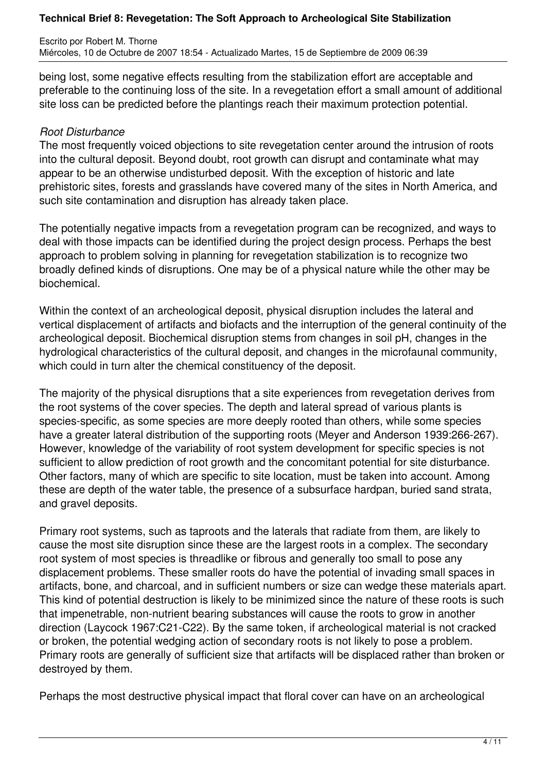Escrito por Robert M. Thorne Miércoles, 10 de Octubre de 2007 18:54 - Actualizado Martes, 15 de Septiembre de 2009 06:39

being lost, some negative effects resulting from the stabilization effort are acceptable and preferable to the continuing loss of the site. In a revegetation effort a small amount of additional site loss can be predicted before the plantings reach their maximum protection potential.

### *Root Disturbance*

The most frequently voiced objections to site revegetation center around the intrusion of roots into the cultural deposit. Beyond doubt, root growth can disrupt and contaminate what may appear to be an otherwise undisturbed deposit. With the exception of historic and late prehistoric sites, forests and grasslands have covered many of the sites in North America, and such site contamination and disruption has already taken place.

The potentially negative impacts from a revegetation program can be recognized, and ways to deal with those impacts can be identified during the project design process. Perhaps the best approach to problem solving in planning for revegetation stabilization is to recognize two broadly defined kinds of disruptions. One may be of a physical nature while the other may be biochemical.

Within the context of an archeological deposit, physical disruption includes the lateral and vertical displacement of artifacts and biofacts and the interruption of the general continuity of the archeological deposit. Biochemical disruption stems from changes in soil pH, changes in the hydrological characteristics of the cultural deposit, and changes in the microfaunal community, which could in turn alter the chemical constituency of the deposit.

The majority of the physical disruptions that a site experiences from revegetation derives from the root systems of the cover species. The depth and lateral spread of various plants is species-specific, as some species are more deeply rooted than others, while some species have a greater lateral distribution of the supporting roots (Meyer and Anderson 1939:266-267). However, knowledge of the variability of root system development for specific species is not sufficient to allow prediction of root growth and the concomitant potential for site disturbance. Other factors, many of which are specific to site location, must be taken into account. Among these are depth of the water table, the presence of a subsurface hardpan, buried sand strata, and gravel deposits.

Primary root systems, such as taproots and the laterals that radiate from them, are likely to cause the most site disruption since these are the largest roots in a complex. The secondary root system of most species is threadlike or fibrous and generally too small to pose any displacement problems. These smaller roots do have the potential of invading small spaces in artifacts, bone, and charcoal, and in sufficient numbers or size can wedge these materials apart. This kind of potential destruction is likely to be minimized since the nature of these roots is such that impenetrable, non-nutrient bearing substances will cause the roots to grow in another direction (Laycock 1967:C21-C22). By the same token, if archeological material is not cracked or broken, the potential wedging action of secondary roots is not likely to pose a problem. Primary roots are generally of sufficient size that artifacts will be displaced rather than broken or destroyed by them.

Perhaps the most destructive physical impact that floral cover can have on an archeological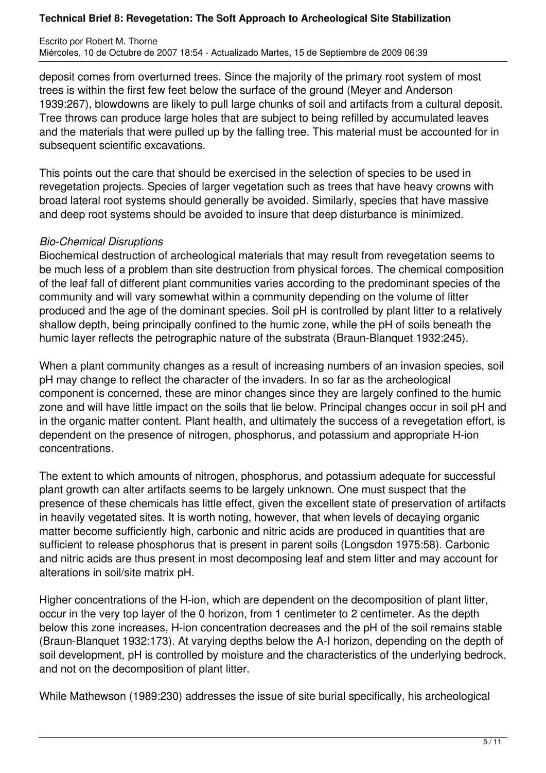Escrito por Robert M. Thorne Miércoles, 10 de Octubre de 2007 18:54 - Actualizado Martes, 15 de Septiembre de 2009 06:39

deposit comes from overturned trees. Since the majority of the primary root system of most trees is within the first few feet below the surface of the ground (Meyer and Anderson 1939:267), blowdowns are likely to pull large chunks of soil and artifacts from a cultural deposit. Tree throws can produce large holes that are subject to being refilled by accumulated leaves and the materials that were pulled up by the falling tree. This material must be accounted for in subsequent scientific excavations.

This points out the care that should be exercised in the selection of species to be used in revegetation projects. Species of larger vegetation such as trees that have heavy crowns with broad lateral root systems should generally be avoided. Similarly, species that have massive and deep root systems should be avoided to insure that deep disturbance is minimized.

### *Bio-Chemical Disruptions*

Biochemical destruction of archeological materials that may result from revegetation seems to be much less of a problem than site destruction from physical forces. The chemical composition of the leaf fall of different plant communities varies according to the predominant species of the community and will vary somewhat within a community depending on the volume of litter produced and the age of the dominant species. Soil pH is controlled by plant litter to a relatively shallow depth, being principally confined to the humic zone, while the pH of soils beneath the humic layer reflects the petrographic nature of the substrata (Braun-Blanquet 1932:245).

When a plant community changes as a result of increasing numbers of an invasion species, soil pH may change to reflect the character of the invaders. In so far as the archeological component is concerned, these are minor changes since they are largely confined to the humic zone and will have little impact on the soils that lie below. Principal changes occur in soil pH and in the organic matter content. Plant health, and ultimately the success of a revegetation effort, is dependent on the presence of nitrogen, phosphorus, and potassium and appropriate H-ion concentrations.

The extent to which amounts of nitrogen, phosphorus, and potassium adequate for successful plant growth can alter artifacts seems to be largely unknown. One must suspect that the presence of these chemicals has little effect, given the excellent state of preservation of artifacts in heavily vegetated sites. It is worth noting, however, that when levels of decaying organic matter become sufficiently high, carbonic and nitric acids are produced in quantities that are sufficient to release phosphorus that is present in parent soils (Longsdon 1975:58). Carbonic and nitric acids are thus present in most decomposing leaf and stem litter and may account for alterations in soil/site matrix pH.

Higher concentrations of the H-ion, which are dependent on the decomposition of plant litter, occur in the very top layer of the 0 horizon, from 1 centimeter to 2 centimeter. As the depth below this zone increases, H-ion concentration decreases and the pH of the soil remains stable (Braun-Blanquet 1932:173). At varying depths below the A-I horizon, depending on the depth of soil development, pH is controlled by moisture and the characteristics of the underlying bedrock, and not on the decomposition of plant litter.

While Mathewson (1989:230) addresses the issue of site burial specifically, his archeological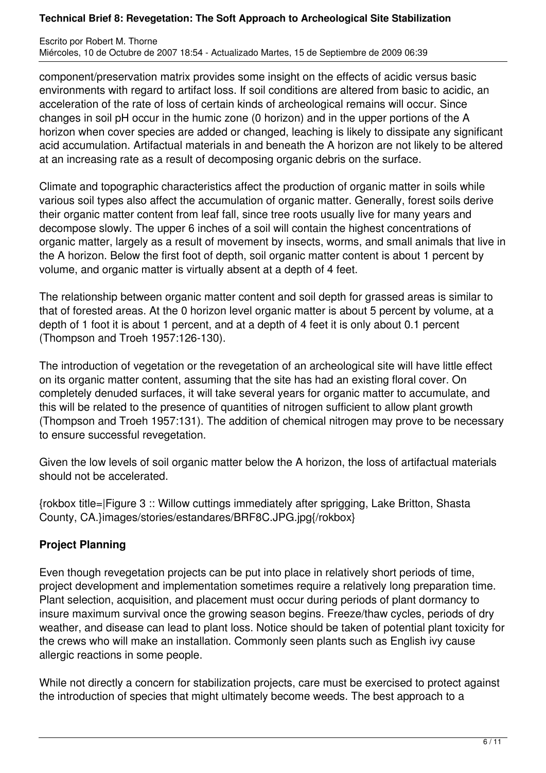Escrito por Robert M. Thorne Miércoles, 10 de Octubre de 2007 18:54 - Actualizado Martes, 15 de Septiembre de 2009 06:39

component/preservation matrix provides some insight on the effects of acidic versus basic environments with regard to artifact loss. If soil conditions are altered from basic to acidic, an acceleration of the rate of loss of certain kinds of archeological remains will occur. Since changes in soil pH occur in the humic zone (0 horizon) and in the upper portions of the A horizon when cover species are added or changed, leaching is likely to dissipate any significant acid accumulation. Artifactual materials in and beneath the A horizon are not likely to be altered at an increasing rate as a result of decomposing organic debris on the surface.

Climate and topographic characteristics affect the production of organic matter in soils while various soil types also affect the accumulation of organic matter. Generally, forest soils derive their organic matter content from leaf fall, since tree roots usually live for many years and decompose slowly. The upper 6 inches of a soil will contain the highest concentrations of organic matter, largely as a result of movement by insects, worms, and small animals that live in the A horizon. Below the first foot of depth, soil organic matter content is about 1 percent by volume, and organic matter is virtually absent at a depth of 4 feet.

The relationship between organic matter content and soil depth for grassed areas is similar to that of forested areas. At the 0 horizon level organic matter is about 5 percent by volume, at a depth of 1 foot it is about 1 percent, and at a depth of 4 feet it is only about 0.1 percent (Thompson and Troeh 1957:126-130).

The introduction of vegetation or the revegetation of an archeological site will have little effect on its organic matter content, assuming that the site has had an existing floral cover. On completely denuded surfaces, it will take several years for organic matter to accumulate, and this will be related to the presence of quantities of nitrogen sufficient to allow plant growth (Thompson and Troeh 1957:131). The addition of chemical nitrogen may prove to be necessary to ensure successful revegetation.

Given the low levels of soil organic matter below the A horizon, the loss of artifactual materials should not be accelerated.

{rokbox title=|Figure 3 :: Willow cuttings immediately after sprigging, Lake Britton, Shasta County, CA.}images/stories/estandares/BRF8C.JPG.jpg{/rokbox}

# **Project Planning**

Even though revegetation projects can be put into place in relatively short periods of time, project development and implementation sometimes require a relatively long preparation time. Plant selection, acquisition, and placement must occur during periods of plant dormancy to insure maximum survival once the growing season begins. Freeze/thaw cycles, periods of dry weather, and disease can lead to plant loss. Notice should be taken of potential plant toxicity for the crews who will make an installation. Commonly seen plants such as English ivy cause allergic reactions in some people.

While not directly a concern for stabilization projects, care must be exercised to protect against the introduction of species that might ultimately become weeds. The best approach to a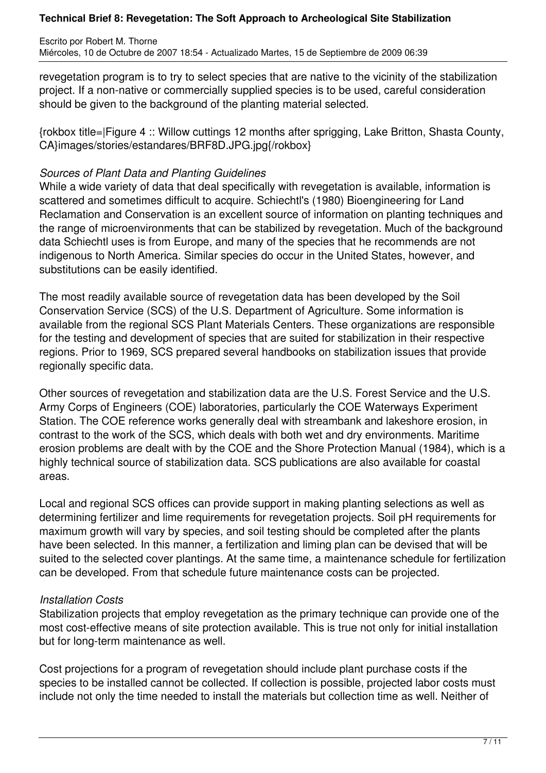Escrito por Robert M. Thorne Miércoles, 10 de Octubre de 2007 18:54 - Actualizado Martes, 15 de Septiembre de 2009 06:39

revegetation program is to try to select species that are native to the vicinity of the stabilization project. If a non-native or commercially supplied species is to be used, careful consideration should be given to the background of the planting material selected.

{rokbox title=|Figure 4 :: Willow cuttings 12 months after sprigging, Lake Britton, Shasta County, CA}images/stories/estandares/BRF8D.JPG.jpg{/rokbox}

## *Sources of Plant Data and Planting Guidelines*

While a wide variety of data that deal specifically with revegetation is available, information is scattered and sometimes difficult to acquire. Schiechtl's (1980) Bioengineering for Land Reclamation and Conservation is an excellent source of information on planting techniques and the range of microenvironments that can be stabilized by revegetation. Much of the background data Schiechtl uses is from Europe, and many of the species that he recommends are not indigenous to North America. Similar species do occur in the United States, however, and substitutions can be easily identified.

The most readily available source of revegetation data has been developed by the Soil Conservation Service (SCS) of the U.S. Department of Agriculture. Some information is available from the regional SCS Plant Materials Centers. These organizations are responsible for the testing and development of species that are suited for stabilization in their respective regions. Prior to 1969, SCS prepared several handbooks on stabilization issues that provide regionally specific data.

Other sources of revegetation and stabilization data are the U.S. Forest Service and the U.S. Army Corps of Engineers (COE) laboratories, particularly the COE Waterways Experiment Station. The COE reference works generally deal with streambank and lakeshore erosion, in contrast to the work of the SCS, which deals with both wet and dry environments. Maritime erosion problems are dealt with by the COE and the Shore Protection Manual (1984), which is a highly technical source of stabilization data. SCS publications are also available for coastal areas.

Local and regional SCS offices can provide support in making planting selections as well as determining fertilizer and lime requirements for revegetation projects. Soil pH requirements for maximum growth will vary by species, and soil testing should be completed after the plants have been selected. In this manner, a fertilization and liming plan can be devised that will be suited to the selected cover plantings. At the same time, a maintenance schedule for fertilization can be developed. From that schedule future maintenance costs can be projected.

### *Installation Costs*

Stabilization projects that employ revegetation as the primary technique can provide one of the most cost-effective means of site protection available. This is true not only for initial installation but for long-term maintenance as well.

Cost projections for a program of revegetation should include plant purchase costs if the species to be installed cannot be collected. If collection is possible, projected labor costs must include not only the time needed to install the materials but collection time as well. Neither of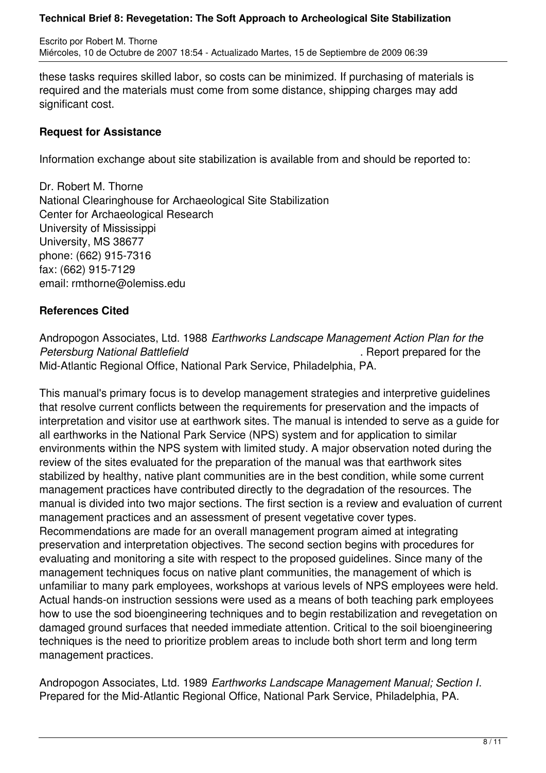Escrito por Robert M. Thorne Miércoles, 10 de Octubre de 2007 18:54 - Actualizado Martes, 15 de Septiembre de 2009 06:39

these tasks requires skilled labor, so costs can be minimized. If purchasing of materials is required and the materials must come from some distance, shipping charges may add significant cost.

### **Request for Assistance**

Information exchange about site stabilization is available from and should be reported to:

Dr. Robert M. Thorne National Clearinghouse for Archaeological Site Stabilization Center for Archaeological Research University of Mississippi University, MS 38677 phone: (662) 915-7316 fax: (662) 915-7129 email: rmthorne@olemiss.edu

### **References Cited**

Andropogon Associates, Ltd. 1988 *Earthworks Landscape Management Action Plan for the Petersburg National Battlefield* . Report prepared for the Mid-Atlantic Regional Office, National Park Service, Philadelphia, PA.

This manual's primary focus is to develop management strategies and interpretive guidelines that resolve current conflicts between the requirements for preservation and the impacts of interpretation and visitor use at earthwork sites. The manual is intended to serve as a guide for all earthworks in the National Park Service (NPS) system and for application to similar environments within the NPS system with limited study. A major observation noted during the review of the sites evaluated for the preparation of the manual was that earthwork sites stabilized by healthy, native plant communities are in the best condition, while some current management practices have contributed directly to the degradation of the resources. The manual is divided into two major sections. The first section is a review and evaluation of current management practices and an assessment of present vegetative cover types. Recommendations are made for an overall management program aimed at integrating preservation and interpretation objectives. The second section begins with procedures for evaluating and monitoring a site with respect to the proposed guidelines. Since many of the management techniques focus on native plant communities, the management of which is unfamiliar to many park employees, workshops at various levels of NPS employees were held. Actual hands-on instruction sessions were used as a means of both teaching park employees how to use the sod bioengineering techniques and to begin restabilization and revegetation on damaged ground surfaces that needed immediate attention. Critical to the soil bioengineering techniques is the need to prioritize problem areas to include both short term and long term management practices.

Andropogon Associates, Ltd. 1989 *Earthworks Landscape Management Manual; Section I*. Prepared for the Mid-Atlantic Regional Office, National Park Service, Philadelphia, PA.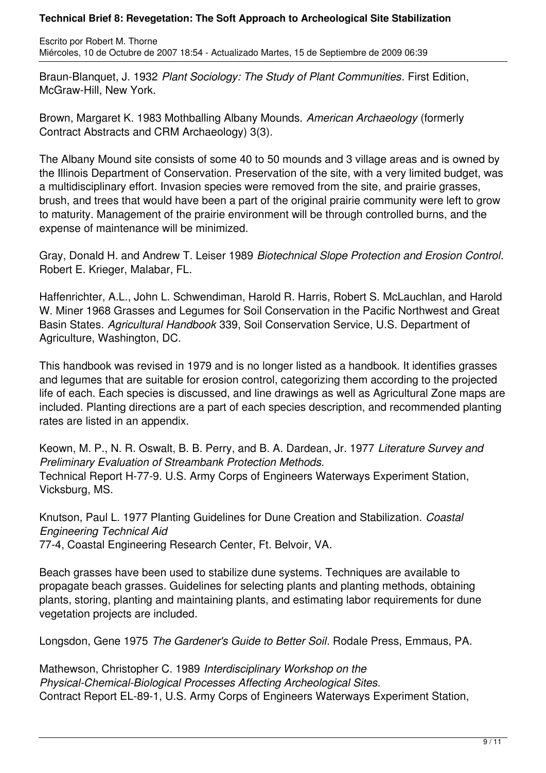Escrito por Robert M. Thorne Miércoles, 10 de Octubre de 2007 18:54 - Actualizado Martes, 15 de Septiembre de 2009 06:39

Braun-Blanquet, J. 1932 *Plant Sociology: The Study of Plant Communities*. First Edition, McGraw-Hill, New York.

Brown, Margaret K. 1983 Mothballing Albany Mounds. *American Archaeology* (formerly Contract Abstracts and CRM Archaeology) 3(3).

The Albany Mound site consists of some 40 to 50 mounds and 3 village areas and is owned by the Illinois Department of Conservation. Preservation of the site, with a very limited budget, was a multidisciplinary effort. Invasion species were removed from the site, and prairie grasses, brush, and trees that would have been a part of the original prairie community were left to grow to maturity. Management of the prairie environment will be through controlled burns, and the expense of maintenance will be minimized.

Gray, Donald H. and Andrew T. Leiser 1989 *Biotechnical Slope Protection and Erosion Control*. Robert E. Krieger, Malabar, FL.

Haffenrichter, A.L., John L. Schwendiman, Harold R. Harris, Robert S. McLauchlan, and Harold W. Miner 1968 Grasses and Legumes for Soil Conservation in the Pacific Northwest and Great Basin States. *Agricultural Handbook* 339, Soil Conservation Service, U.S. Department of Agriculture, Washington, DC.

This handbook was revised in 1979 and is no longer listed as a handbook. It identifies grasses and legumes that are suitable for erosion control, categorizing them according to the projected life of each. Each species is discussed, and line drawings as well as Agricultural Zone maps are included. Planting directions are a part of each species description, and recommended planting rates are listed in an appendix.

Keown, M. P., N. R. Oswalt, B. B. Perry, and B. A. Dardean, Jr. 1977 *Literature Survey and Preliminary Evaluation of Streambank Protection Methods.* Technical Report H-77-9. U.S. Army Corps of Engineers Waterways Experiment Station, Vicksburg, MS.

Knutson, Paul L. 1977 Planting Guidelines for Dune Creation and Stabilization. *Coastal Engineering Technical Aid* 77-4, Coastal Engineering Research Center, Ft. Belvoir, VA.

Beach grasses have been used to stabilize dune systems. Techniques are available to propagate beach grasses. Guidelines for selecting plants and planting methods, obtaining plants, storing, planting and maintaining plants, and estimating labor requirements for dune vegetation projects are included.

Longsdon, Gene 1975 *The Gardener's Guide to Better Soil*. Rodale Press, Emmaus, PA.

Mathewson, Christopher C. 1989 *Interdisciplinary Workshop on the Physical-Chemical-Biological Processes Affecting Archeological Sites.* Contract Report EL-89-1, U.S. Army Corps of Engineers Waterways Experiment Station,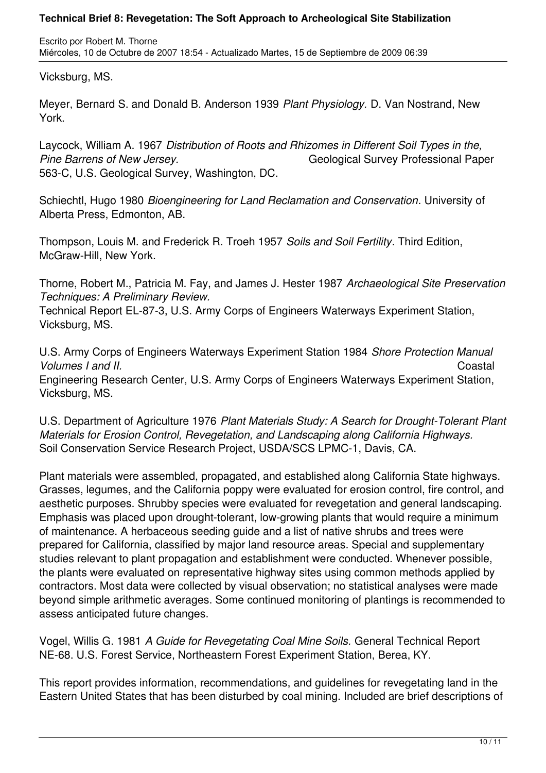Escrito por Robert M. Thorne Miércoles, 10 de Octubre de 2007 18:54 - Actualizado Martes, 15 de Septiembre de 2009 06:39

Vicksburg, MS.

Meyer, Bernard S. and Donald B. Anderson 1939 *Plant Physiology.* D. Van Nostrand, New York.

Laycock, William A. 1967 *Distribution of Roots and Rhizomes in Different Soil Types in the,* **Pine Barrens of New Jersey.** Channel Change Geological Survey Professional Paper 563-C, U.S. Geological Survey, Washington, DC.

Schiechtl, Hugo 1980 *Bioengineering for Land Reclamation and Conservation*. University of Alberta Press, Edmonton, AB.

Thompson, Louis M. and Frederick R. Troeh 1957 *Soils and Soil Fertility*. Third Edition, McGraw-Hill, New York.

Thorne, Robert M., Patricia M. Fay, and James J. Hester 1987 *Archaeological Site Preservation Techniques: A Preliminary Review.*

Technical Report EL-87-3, U.S. Army Corps of Engineers Waterways Experiment Station, Vicksburg, MS.

U.S. Army Corps of Engineers Waterways Experiment Station 1984 *Shore Protection Manual Volumes I and II.* Coastal Engineering Research Center, U.S. Army Corps of Engineers Waterways Experiment Station, Vicksburg, MS.

U.S. Department of Agriculture 1976 *Plant Materials Study: A Search for Drought-Tolerant Plant Materials for Erosion Control, Revegetation, and Landscaping along California Highways.* Soil Conservation Service Research Project, USDA/SCS LPMC-1, Davis, CA.

Plant materials were assembled, propagated, and established along California State highways. Grasses, legumes, and the California poppy were evaluated for erosion control, fire control, and aesthetic purposes. Shrubby species were evaluated for revegetation and general landscaping. Emphasis was placed upon drought-tolerant, low-growing plants that would require a minimum of maintenance. A herbaceous seeding guide and a list of native shrubs and trees were prepared for California, classified by major land resource areas. Special and supplementary studies relevant to plant propagation and establishment were conducted. Whenever possible, the plants were evaluated on representative highway sites using common methods applied by contractors. Most data were collected by visual observation; no statistical analyses were made beyond simple arithmetic averages. Some continued monitoring of plantings is recommended to assess anticipated future changes.

Vogel, Willis G. 1981 *A Guide for Revegetating Coal Mine Soils.* General Technical Report NE-68. U.S. Forest Service, Northeastern Forest Experiment Station, Berea, KY.

This report provides information, recommendations, and guidelines for revegetating land in the Eastern United States that has been disturbed by coal mining. Included are brief descriptions of